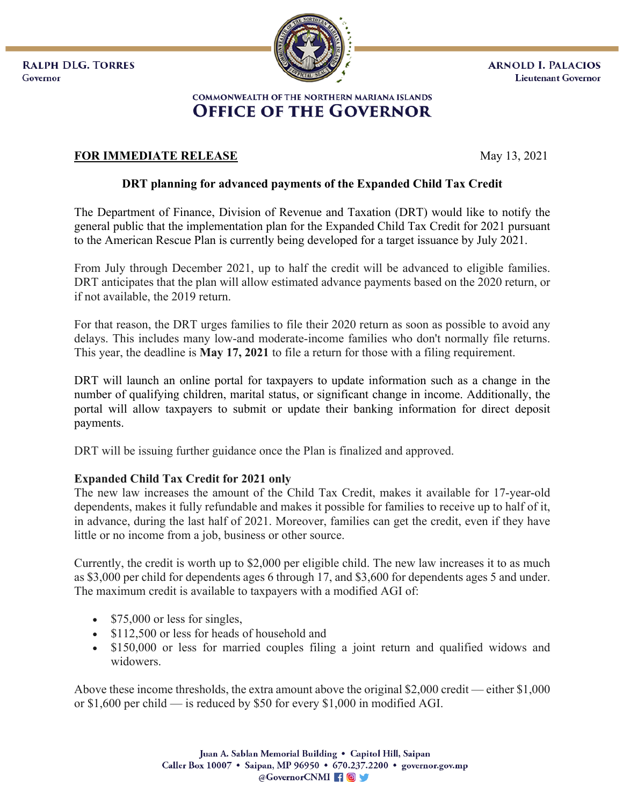**RALPH DLG. TORRES** Governor



## COMMONWEALTH OF THE NORTHERN MARIANA ISLANDS **OFFICE OF THE GOVERNOR**

## **FOR IMMEDIATE RELEASE** May 13, 2021

## **DRT planning for advanced payments of the Expanded Child Tax Credit**

The Department of Finance, Division of Revenue and Taxation (DRT) would like to notify the general public that the implementation plan for the Expanded Child Tax Credit for 2021 pursuant to the American Rescue Plan is currently being developed for a target issuance by July 2021.

From July through December 2021, up to half the credit will be advanced to eligible families. DRT anticipates that the plan will allow estimated advance payments based on the 2020 return, or if not available, the 2019 return.

For that reason, the DRT urges families to file their 2020 return as soon as possible to avoid any delays. This includes many low-and moderate-income families who don't normally file returns. This year, the deadline is **May 17, 2021** to file a return for those with a filing requirement.

DRT will launch an online portal for taxpayers to update information such as a change in the number of qualifying children, marital status, or significant change in income. Additionally, the portal will allow taxpayers to submit or update their banking information for direct deposit payments.

DRT will be issuing further guidance once the Plan is finalized and approved.

## **Expanded Child Tax Credit for 2021 only**

The new law increases the amount of the Child Tax Credit, makes it available for 17-year-old dependents, makes it fully refundable and makes it possible for families to receive up to half of it, in advance, during the last half of 2021. Moreover, families can get the credit, even if they have little or no income from a job, business or other source.

Currently, the credit is worth up to \$2,000 per eligible child. The new law increases it to as much as \$3,000 per child for dependents ages 6 through 17, and \$3,600 for dependents ages 5 and under. The maximum credit is available to taxpayers with a modified AGI of:

- \$75,000 or less for singles,
- \$112,500 or less for heads of household and
- \$150,000 or less for married couples filing a joint return and qualified widows and widowers.

Above these income thresholds, the extra amount above the original \$2,000 credit — either \$1,000 or \$1,600 per child — is reduced by \$50 for every \$1,000 in modified AGI.